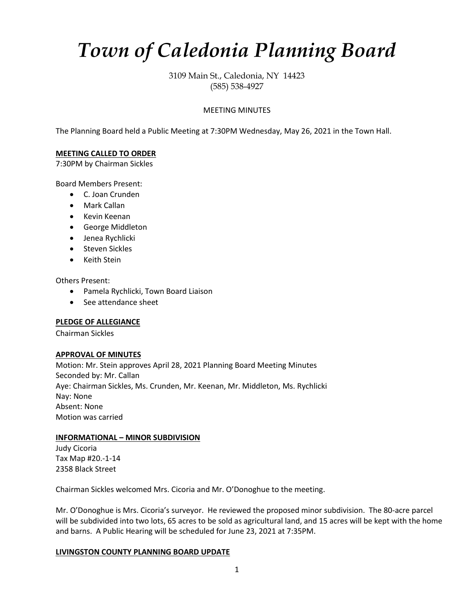# *Town of Caledonia Planning Board*

3109 Main St., Caledonia, NY 14423 (585) 538-4927

## MEETING MINUTES

The Planning Board held a Public Meeting at 7:30PM Wednesday, May 26, 2021 in the Town Hall.

## **MEETING CALLED TO ORDER**

7:30PM by Chairman Sickles

Board Members Present:

- C. Joan Crunden
- Mark Callan
- Kevin Keenan
- George Middleton
- Jenea Rychlicki
- Steven Sickles
- Keith Stein

Others Present:

- Pamela Rychlicki, Town Board Liaison
- See attendance sheet

#### **PLEDGE OF ALLEGIANCE**

Chairman Sickles

#### **APPROVAL OF MINUTES**

Motion: Mr. Stein approves April 28, 2021 Planning Board Meeting Minutes Seconded by: Mr. Callan Aye: Chairman Sickles, Ms. Crunden, Mr. Keenan, Mr. Middleton, Ms. Rychlicki Nay: None Absent: None Motion was carried

## **INFORMATIONAL – MINOR SUBDIVISION**

Judy Cicoria Tax Map #20.-1-14 2358 Black Street

Chairman Sickles welcomed Mrs. Cicoria and Mr. O'Donoghue to the meeting.

Mr. O'Donoghue is Mrs. Cicoria's surveyor. He reviewed the proposed minor subdivision. The 80-acre parcel will be subdivided into two lots, 65 acres to be sold as agricultural land, and 15 acres will be kept with the home and barns. A Public Hearing will be scheduled for June 23, 2021 at 7:35PM.

#### **LIVINGSTON COUNTY PLANNING BOARD UPDATE**